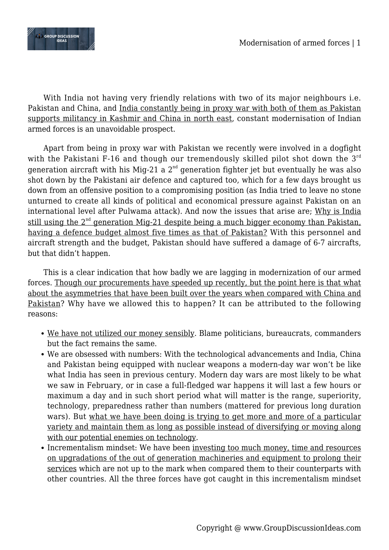

With India not having very friendly relations with two of its major neighbours i.e. Pakistan and China, and India constantly being in proxy war with both of them as Pakistan supports militancy in Kashmir and China in north east, constant modernisation of Indian armed forces is an unavoidable prospect.

Apart from being in proxy war with Pakistan we recently were involved in a dogfight with the Pakistani F-16 and though our tremendously skilled pilot shot down the  $3^{rd}$ generation aircraft with his Mig-21 a  $2<sup>nd</sup>$  generation fighter jet but eventually he was also shot down by the Pakistani air defence and captured too, which for a few days brought us down from an offensive position to a compromising position (as India tried to leave no stone unturned to create all kinds of political and economical pressure against Pakistan on an international level after Pulwama attack). And now the issues that arise are; Why is India still using the  $2<sup>nd</sup>$  generation Mig-21 despite being a much bigger economy than Pakistan, having a defence budget almost five times as that of Pakistan? With this personnel and aircraft strength and the budget, Pakistan should have suffered a damage of 6-7 aircrafts, but that didn't happen.

This is a clear indication that how badly we are lagging in modernization of our armed forces. Though our procurements have speeded up recently, but the point here is that what about the asymmetries that have been built over the years when compared with China and Pakistan? Why have we allowed this to happen? It can be attributed to the following reasons:

- We have not utilized our money sensibly. Blame politicians, bureaucrats, commanders but the fact remains the same.
- We are obsessed with numbers: With the technological advancements and India, China and Pakistan being equipped with nuclear weapons a modern-day war won't be like what India has seen in previous century. Modern day wars are most likely to be what we saw in February, or in case a full-fledged war happens it will last a few hours or maximum a day and in such short period what will matter is the range, superiority, technology, preparedness rather than numbers (mattered for previous long duration wars). But what we have been doing is trying to get more and more of a particular variety and maintain them as long as possible instead of diversifying or moving along with our potential enemies on technology.
- Incrementalism mindset: We have been investing too much money, time and resources on upgradations of the out of generation machineries and equipment to prolong their services which are not up to the mark when compared them to their counterparts with other countries. All the three forces have got caught in this incrementalism mindset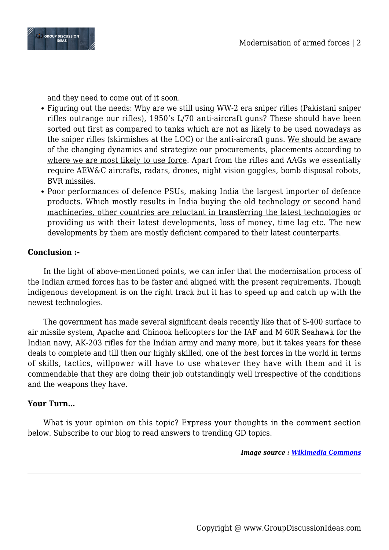

and they need to come out of it soon.

- Figuring out the needs: Why are we still using WW-2 era sniper rifles (Pakistani sniper rifles outrange our rifles), 1950's L/70 anti-aircraft guns? These should have been sorted out first as compared to tanks which are not as likely to be used nowadays as the sniper rifles (skirmishes at the LOC) or the anti-aircraft guns. We should be aware of the changing dynamics and strategize our procurements, placements according to where we are most likely to use force. Apart from the rifles and AAGs we essentially require AEW&C aircrafts, radars, drones, night vision goggles, bomb disposal robots, BVR missiles.
- Poor performances of defence PSUs, making India the largest importer of defence products. Which mostly results in India buying the old technology or second hand machineries, other countries are reluctant in transferring the latest technologies or providing us with their latest developments, loss of money, time lag etc. The new developments by them are mostly deficient compared to their latest counterparts.

## **Conclusion :-**

In the light of above-mentioned points, we can infer that the modernisation process of the Indian armed forces has to be faster and aligned with the present requirements. Though indigenous development is on the right track but it has to speed up and catch up with the newest technologies.

The government has made several significant deals recently like that of S-400 surface to air missile system, Apache and Chinook helicopters for the IAF and M 60R Seahawk for the Indian navy, AK-203 rifles for the Indian army and many more, but it takes years for these deals to complete and till then our highly skilled, one of the best forces in the world in terms of skills, tactics, willpower will have to use whatever they have with them and it is commendable that they are doing their job outstandingly well irrespective of the conditions and the weapons they have.

## **Your Turn…**

What is your opinion on this topic? Express your thoughts in the comment section below. Subscribe to our blog to read answers to trending GD topics.

*Image source : [Wikimedia Commons](https://en.wikipedia.org/wiki/File:Sheeju_mig21.JPG)*